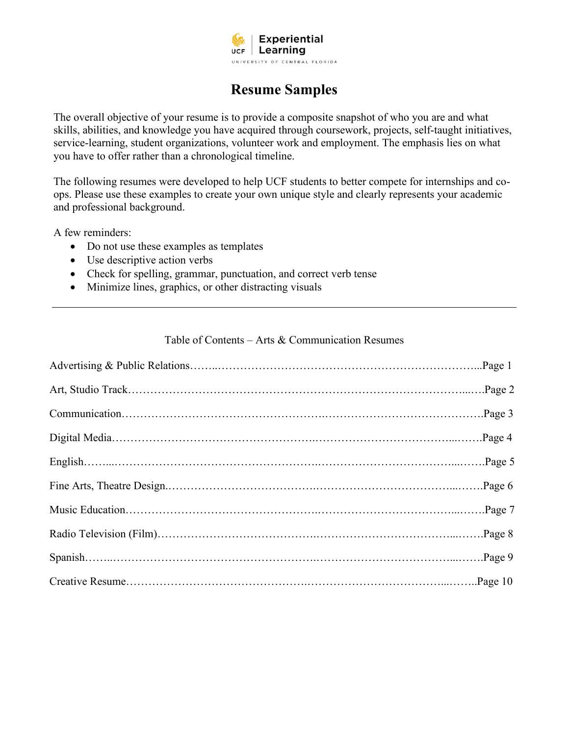

## **Resume Samples**

The overall objective of your resume is to provide a composite snapshot of who you are and what skills, abilities, and knowledge you have acquired through coursework, projects, self-taught initiatives, service-learning, student organizations, volunteer work and employment. The emphasis lies on what you have to offer rather than a chronological timeline.

The following resumes were developed to help UCF students to better compete for internships and coops. Please use these examples to create your own unique style and clearly represents your academic and professional background.

A few reminders:

- Do not use these examples as templates
- Use descriptive action verbs
- Check for spelling, grammar, punctuation, and correct verb tense
- Minimize lines, graphics, or other distracting visuals

#### Table of Contents – Arts & Communication Resumes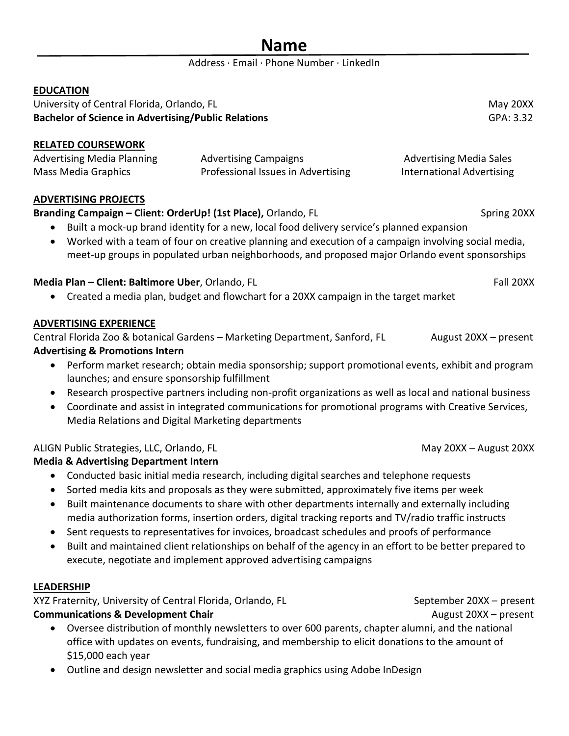| о | ۱m |  |
|---|----|--|
|   |    |  |

#### Address · Email · Phone Number · LinkedIn

#### **EDUCATION**

University of Central Florida, Orlando, FL May 20XX **Bachelor of Science in Advertising/Public Relations** GPA: 3.32

**RELATED COURSEWORK**

| <b>Advertising Media Planning</b> | <b>Advertising Campaigns</b>       | <b>Advertising Media Sales</b> |
|-----------------------------------|------------------------------------|--------------------------------|
| Mass Media Graphics               | Professional Issues in Advertising | International Advertising      |

#### **ADVERTISING PROJECTS**

#### **Branding Campaign – Client: OrderUp! (1st Place),** Orlando, FL Spring 2000 Spring 20XX

- Built a mock-up brand identity for a new, local food delivery service's planned expansion
- Worked with a team of four on creative planning and execution of a campaign involving social media, meet-up groups in populated urban neighborhoods, and proposed major Orlando event sponsorships

#### **Media Plan – Client: Baltimore Uber**, Orlando, FL Fall 20XX **Fall 20XX**

• Created a media plan, budget and flowchart for a 20XX campaign in the target market

#### **ADVERTISING EXPERIENCE**

Central Florida Zoo & botanical Gardens – Marketing Department, Sanford, FL August 20XX – present **Advertising & Promotions Intern**

- Perform market research; obtain media sponsorship; support promotional events, exhibit and program launches; and ensure sponsorship fulfillment
- Research prospective partners including non-profit organizations as well as local and national business
- Coordinate and assist in integrated communications for promotional programs with Creative Services, Media Relations and Digital Marketing departments

#### ALIGN Public Strategies, LLC, Orlando, FL May 20XX – August 20XX – August 20XX – August 20XX

#### **Media & Advertising Department Intern**

- Conducted basic initial media research, including digital searches and telephone requests
- Sorted media kits and proposals as they were submitted, approximately five items per week
- Built maintenance documents to share with other departments internally and externally including media authorization forms, insertion orders, digital tracking reports and TV/radio traffic instructs
- Sent requests to representatives for invoices, broadcast schedules and proofs of performance
- Built and maintained client relationships on behalf of the agency in an effort to be better prepared to execute, negotiate and implement approved advertising campaigns

#### **LEADERSHIP**

XYZ Fraternity, University of Central Florida, Orlando, FL September 20XX – present **Communications & Development Chair** August 20XX – present

- 
- Oversee distribution of monthly newsletters to over 600 parents, chapter alumni, and the national office with updates on events, fundraising, and membership to elicit donations to the amount of \$15,000 each year
- Outline and design newsletter and social media graphics using Adobe InDesign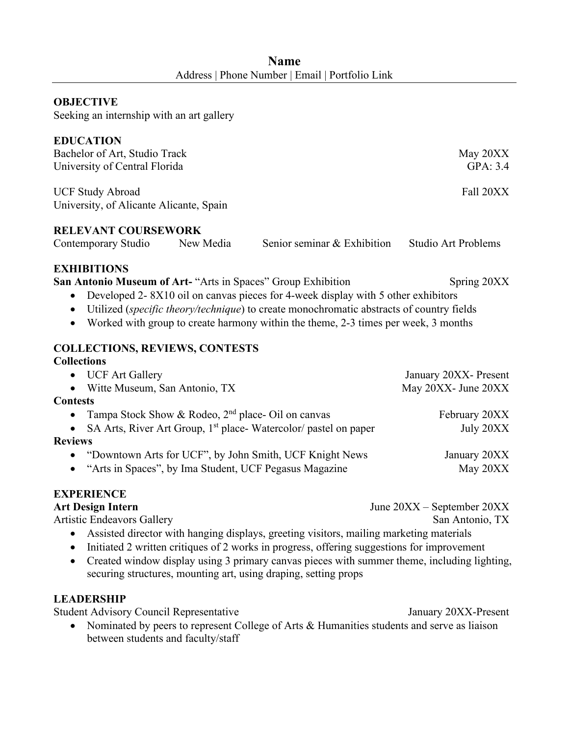| <b>Name</b> |                                                 |  |  |  |
|-------------|-------------------------------------------------|--|--|--|
|             | Address   Phone Number   Email   Portfolio Link |  |  |  |

#### **OBJECTIVE**

Seeking an internship with an art gallery

#### **EDUCATION**

| Bachelor of Art, Studio Track<br>University of Central Florida                                                                                                     |           |                                                                                                                                                                                                                                                                             | May 20XX<br>GPA: 3.4       |
|--------------------------------------------------------------------------------------------------------------------------------------------------------------------|-----------|-----------------------------------------------------------------------------------------------------------------------------------------------------------------------------------------------------------------------------------------------------------------------------|----------------------------|
| <b>UCF Study Abroad</b><br>University, of Alicante Alicante, Spain                                                                                                 |           |                                                                                                                                                                                                                                                                             | Fall 20XX                  |
| <b>RELEVANT COURSEWORK</b>                                                                                                                                         |           |                                                                                                                                                                                                                                                                             |                            |
| Contemporary Studio                                                                                                                                                | New Media | Senior seminar & Exhibition                                                                                                                                                                                                                                                 | <b>Studio Art Problems</b> |
| <b>EXHIBITIONS</b><br>San Antonio Museum of Art- "Arts in Spaces" Group Exhibition<br>$\bullet$<br>$\bullet$<br>$\bullet$<br><b>COLLECTIONS, REVIEWS, CONTESTS</b> |           | Developed 2-8X10 oil on canvas pieces for 4-week display with 5 other exhibitors<br>Utilized ( <i>specific theory/technique</i> ) to create monochromatic abstracts of country fields<br>Worked with group to create harmony within the theme, 2-3 times per week, 3 months | Spring 20XX                |
| <b>Collections</b><br><b>UCF Art Gallery</b><br>$\bullet$                                                                                                          |           |                                                                                                                                                                                                                                                                             | January 20XX- Present      |
| Witte Museum, San Antonio, TX                                                                                                                                      |           |                                                                                                                                                                                                                                                                             | May 20XX- June 20XX        |
| <b>Contests</b>                                                                                                                                                    |           |                                                                                                                                                                                                                                                                             |                            |
| Tampa Stock Show & Rodeo, 2 <sup>nd</sup> place- Oil on canvas                                                                                                     |           |                                                                                                                                                                                                                                                                             | February 20XX              |
|                                                                                                                                                                    |           | SA Arts, River Art Group, 1 <sup>st</sup> place-Watercolor/ pastel on paper                                                                                                                                                                                                 | July 20XX                  |
| <b>Reviews</b>                                                                                                                                                     |           |                                                                                                                                                                                                                                                                             |                            |
|                                                                                                                                                                    |           | "Downtown Arts for UCF", by John Smith, UCF Knight News                                                                                                                                                                                                                     | January 20XX               |
| $\bullet$                                                                                                                                                          |           | "Arts in Spaces", by Ima Student, UCF Pegasus Magazine                                                                                                                                                                                                                      | May 20XX                   |
|                                                                                                                                                                    |           |                                                                                                                                                                                                                                                                             |                            |

#### **EXPERIENCE**

Art Design Intern<br>
June 20XX – September 20XX Artistic Endeavors Gallery San Antonio, TX

- Assisted director with hanging displays, greeting visitors, mailing marketing materials
- Initiated 2 written critiques of 2 works in progress, offering suggestions for improvement
- Created window display using 3 primary canvas pieces with summer theme, including lighting, securing structures, mounting art, using draping, setting props

#### **LEADERSHIP**

Student Advisory Council Representative January 20XX-Present

• Nominated by peers to represent College of Arts & Humanities students and serve as liaison between students and faculty/staff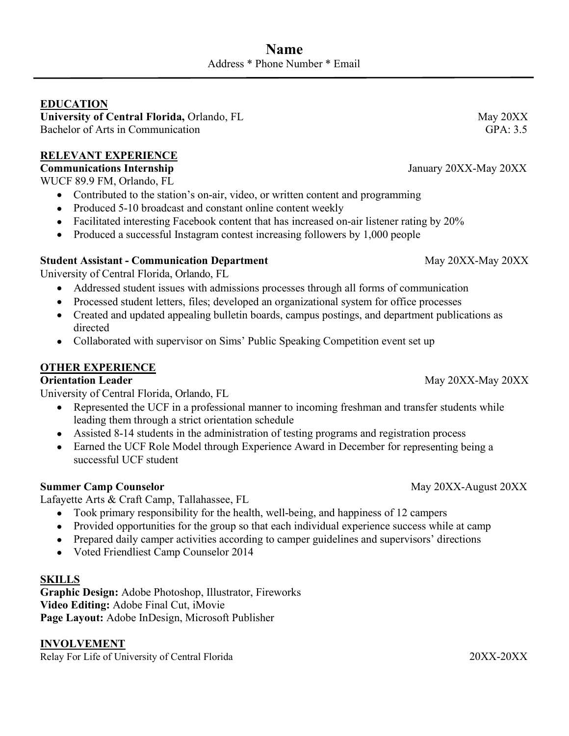#### **EDUCATION**

University of Central Florida, Orlando, FL **May 20XX** May 20XX Bachelor of Arts in Communication GPA: 3.5

#### **RELEVANT EXPERIENCE**

**Communications Internship** January 20XX-May 20XX

WUCF 89.9 FM, Orlando, FL

- Contributed to the station's on-air, video, or written content and programming
- Produced 5-10 broadcast and constant online content weekly
- Facilitated interesting Facebook content that has increased on-air listener rating by 20%
- Produced a successful Instagram contest increasing followers by 1,000 people

#### **Student Assistant - Communication Department** May 20XX-May 20XX-May 20XX

University of Central Florida, Orlando, FL

- Addressed student issues with admissions processes through all forms of communication
- Processed student letters, files; developed an organizational system for office processes
- Created and updated appealing bulletin boards, campus postings, and department publications as directed
- Collaborated with supervisor on Sims' Public Speaking Competition event set up

#### **OTHER EXPERIENCE**

#### **Orientation Leader** May 20XX-May 20XX-May 20XX

University of Central Florida, Orlando, FL

- Represented the UCF in a professional manner to incoming freshman and transfer students while leading them through a strict orientation schedule
- Assisted 8-14 students in the administration of testing programs and registration process
- Earned the UCF Role Model through Experience Award in December for representing being a successful UCF student

#### **Summer Camp Counselor** May 20XX-August 20XX

Lafayette Arts & Craft Camp, Tallahassee, FL

- Took primary responsibility for the health, well-being, and happiness of 12 campers
- Provided opportunities for the group so that each individual experience success while at camp
- Prepared daily camper activities according to camper guidelines and supervisors' directions
- Voted Friendliest Camp Counselor 2014

#### **SKILLS**

**Graphic Design:** Adobe Photoshop, Illustrator, Fireworks **Video Editing:** Adobe Final Cut, iMovie **Page Layout:** Adobe InDesign, Microsoft Publisher

#### **INVOLVEMENT**

Relay For Life of University of Central Florida 20XX-20XX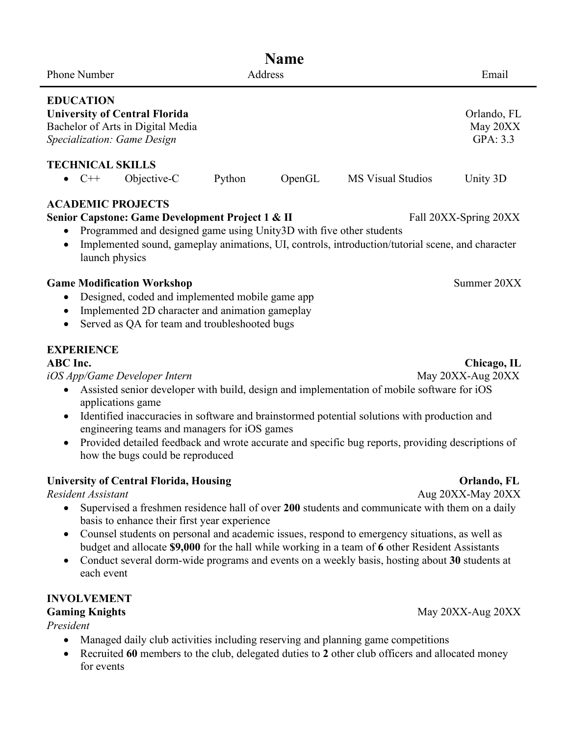| <b>Name</b>                                                                                                                                                                                                     |             |        |         |                                                                                                                                                                                            |                                                                                                                                                                                                                                                                                                                                                                                                                                         |
|-----------------------------------------------------------------------------------------------------------------------------------------------------------------------------------------------------------------|-------------|--------|---------|--------------------------------------------------------------------------------------------------------------------------------------------------------------------------------------------|-----------------------------------------------------------------------------------------------------------------------------------------------------------------------------------------------------------------------------------------------------------------------------------------------------------------------------------------------------------------------------------------------------------------------------------------|
| Phone Number                                                                                                                                                                                                    |             |        | Address |                                                                                                                                                                                            | Email                                                                                                                                                                                                                                                                                                                                                                                                                                   |
| <b>EDUCATION</b><br><b>University of Central Florida</b><br>Bachelor of Arts in Digital Media<br>Specialization: Game Design                                                                                    |             |        |         |                                                                                                                                                                                            | Orlando, FL<br>May 20XX<br>GPA: 3.3                                                                                                                                                                                                                                                                                                                                                                                                     |
| <b>TECHNICAL SKILLS</b>                                                                                                                                                                                         |             |        |         |                                                                                                                                                                                            |                                                                                                                                                                                                                                                                                                                                                                                                                                         |
| $C++$                                                                                                                                                                                                           | Objective-C | Python | OpenGL  | <b>MS Visual Studios</b>                                                                                                                                                                   | Unity 3D                                                                                                                                                                                                                                                                                                                                                                                                                                |
| <b>ACADEMIC PROJECTS</b><br>Senior Capstone: Game Development Project 1 & II<br>٠<br>launch physics                                                                                                             |             |        |         | Programmed and designed game using Unity3D with five other students                                                                                                                        | Fall 20XX-Spring 20XX<br>Implemented sound, gameplay animations, UI, controls, introduction/tutorial scene, and character                                                                                                                                                                                                                                                                                                               |
| <b>Game Modification Workshop</b><br>Designed, coded and implemented mobile game app<br>٠<br>Implemented 2D character and animation gameplay<br>$\bullet$<br>Served as QA for team and troubleshooted bugs<br>٠ |             |        |         |                                                                                                                                                                                            | Summer 20XX                                                                                                                                                                                                                                                                                                                                                                                                                             |
| <b>EXPERIENCE</b><br><b>ABC</b> Inc.<br>iOS App/Game Developer Intern<br>٠<br>applications game<br>$\bullet$<br>engineering teams and managers for iOS games<br>how the bugs could be reproduced                |             |        |         | Assisted senior developer with build, design and implementation of mobile software for iOS<br>Identified inaccuracies in software and brainstormed potential solutions with production and | Chicago, IL<br>May 20XX-Aug 20XX<br>Provided detailed feedback and wrote accurate and specific bug reports, providing descriptions of                                                                                                                                                                                                                                                                                                   |
| <b>University of Central Florida, Housing</b><br><b>Resident Assistant</b><br>basis to enhance their first year experience                                                                                      |             |        |         |                                                                                                                                                                                            | Orlando, FL<br>Aug 20XX-May 20XX<br>Supervised a freshmen residence hall of over 200 students and communicate with them on a daily<br>Counsel students on personal and academic issues, respond to emergency situations, as well as<br>budget and allocate \$9,000 for the hall while working in a team of 6 other Resident Assistants<br>Conduct several dorm-wide programs and events on a weekly basis, hosting about 30 students at |

each event

**INVOLVEMENT**

*President*

- Managed daily club activities including reserving and planning game competitions
- Recruited **60** members to the club, delegated duties to **2** other club officers and allocated money for events

**Gaming Knights** May 20XX-Aug 20XX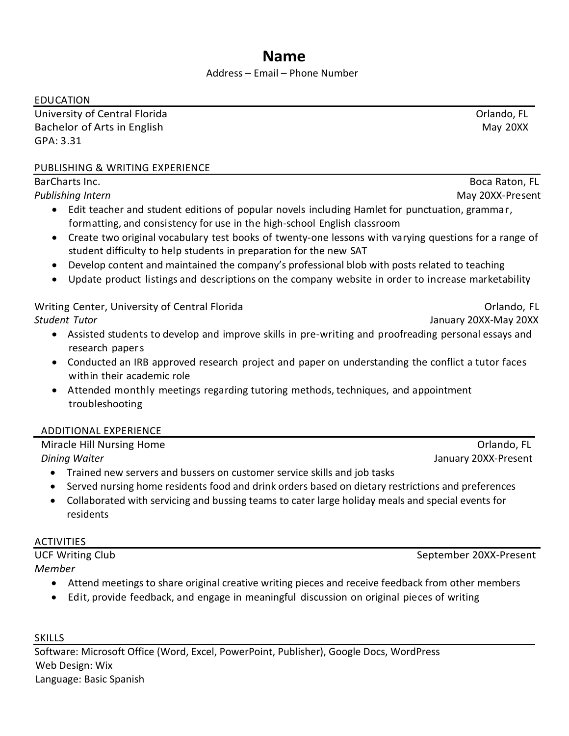## **Name**

#### Address – Email – Phone Number

EDUCATION

University of Central Florida Orlando, FL Bachelor of Arts in English May 20XX GPA: 3.31

#### PUBLISHING & WRITING EXPERIENCE

BarCharts Inc. **Books and Community Community** Controller and Community Community Community Community Community Community Community Community Community Community Community Community Community Community Community Community *Publishing Intern* May 20XX-Present

- Edit teacher and student editions of popular novels including Hamlet for punctuation, grammar, formatting, and consistency for use in the high-school English classroom
- Create two original vocabulary test books of twenty-one lessons with varying questions for a range of student difficulty to help students in preparation for the new SAT
- Develop content and maintained the company's professional blob with posts related to teaching
- Update product listings and descriptions on the company website in order to increase marketability

Writing Center, University of Central Florida **Canadian Communist Communist Communist Communist Communist Communist Communist Communist Communist Communist Communist Communist Communist Communist Communist Communist Commun** *Student Tutor* January 20XX-May 20XX

- Assisted students to develop and improve skills in pre-writing and proofreading personal essays and research papers
- Conducted an IRB approved research project and paper on understanding the conflict a tutor faces within their academic role
- Attended monthly meetings regarding tutoring methods, techniques, and appointment troubleshooting

#### ADDITIONAL EXPERIENCE

| Miracle Hill Nursing Home                                                | Orlando, FL          |
|--------------------------------------------------------------------------|----------------------|
| Dining Waiter                                                            | January 20XX-Present |
| Trained new servers and bussers on customer service skills and job tasks |                      |

- Served nursing home residents food and drink orders based on dietary restrictions and preferences
- Collaborated with servicing and bussing teams to cater large holiday meals and special events for residents

#### ACTIVITIES

*Member*

- Attend meetings to share original creative writing pieces and receive feedback from other members
- Edit, provide feedback, and engage in meaningful discussion on original pieces of writing

SKILLS

Software: Microsoft Office (Word, Excel, PowerPoint, Publisher), Google Docs, WordPress Web Design: Wix Language: Basic Spanish

UCF Writing Club September 20XX-Present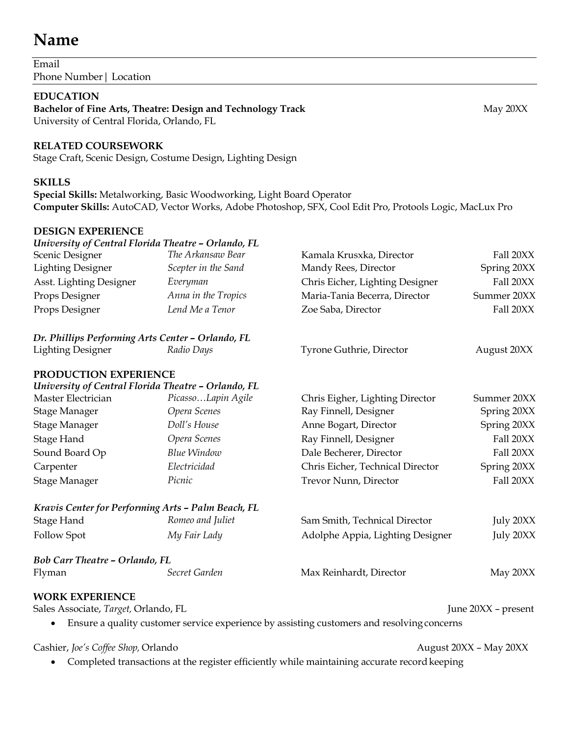## **Name**

Email Phone Number| Location

#### **EDUCATION**

Bachelor of Fine Arts, Theatre: Design and Technology Track May 20XX University of Central Florida, Orlando, FL

#### **RELATED COURSEWORK**

Stage Craft, Scenic Design, Costume Design, Lighting Design

#### **SKILLS**

**Special Skills:** Metalworking, Basic Woodworking, Light Board Operator **Computer Skills:** AutoCAD, Vector Works, Adobe Photoshop, SFX, Cool Edit Pro, Protools Logic, MacLux Pro

#### **DESIGN EXPERIENCE**

| University of Central Florida Theatre - Orlando, FL |                     |                                                                                            |                     |
|-----------------------------------------------------|---------------------|--------------------------------------------------------------------------------------------|---------------------|
| Scenic Designer                                     | The Arkansaw Bear   | Kamala Krusxka, Director                                                                   | Fall 20XX           |
| <b>Lighting Designer</b>                            | Scepter in the Sand | Mandy Rees, Director                                                                       | Spring 20XX         |
| Asst. Lighting Designer                             | Everyman            | Chris Eicher, Lighting Designer                                                            | Fall 20XX           |
| Props Designer                                      | Anna in the Tropics | Maria-Tania Becerra, Director                                                              | Summer 20XX         |
| Props Designer                                      | Lend Me a Tenor     | Zoe Saba, Director                                                                         | Fall 20XX           |
| Dr. Phillips Performing Arts Center - Orlando, FL   |                     |                                                                                            |                     |
| <b>Lighting Designer</b>                            | Radio Days          | Tyrone Guthrie, Director                                                                   | August 20XX         |
| PRODUCTION EXPERIENCE                               |                     |                                                                                            |                     |
| University of Central Florida Theatre - Orlando, FL |                     |                                                                                            |                     |
| Master Electrician                                  | PicassoLapin Agile  | Chris Eigher, Lighting Director                                                            | Summer 20XX         |
| <b>Stage Manager</b>                                | Opera Scenes        | Ray Finnell, Designer                                                                      | Spring 20XX         |
| Stage Manager                                       | Doll's House        | Anne Bogart, Director                                                                      | Spring 20XX         |
| Stage Hand                                          | Opera Scenes        | Ray Finnell, Designer                                                                      | Fall 20XX           |
| Sound Board Op                                      | <b>Blue Window</b>  | Dale Becherer, Director                                                                    | Fall 20XX           |
| Carpenter                                           | Electricidad        | Chris Eicher, Technical Director                                                           | Spring 20XX         |
| <b>Stage Manager</b>                                | Picnic              | Trevor Nunn, Director                                                                      | Fall 20XX           |
| Kravis Center for Performing Arts - Palm Beach, FL  |                     |                                                                                            |                     |
| Stage Hand                                          | Romeo and Juliet    | Sam Smith, Technical Director                                                              | July 20XX           |
| Follow Spot                                         | My Fair Lady        | Adolphe Appia, Lighting Designer                                                           | July 20XX           |
| <b>Bob Carr Theatre - Orlando, FL</b>               |                     |                                                                                            |                     |
| Flyman                                              | Secret Garden       | Max Reinhardt, Director                                                                    | May 20XX            |
| <b>WORK EXPERIENCE</b>                              |                     |                                                                                            |                     |
| Sales Associate, Target, Orlando, FL                |                     |                                                                                            | June 20XX - present |
|                                                     |                     | Ensure a quality customer service experience by assisting customers and resolving concerns |                     |

Cashier, *Joe's Coffee Shop*, Orlando *August 20XX* – May 20XX

• Completed transactions at the register efficiently while maintaining accurate record keeping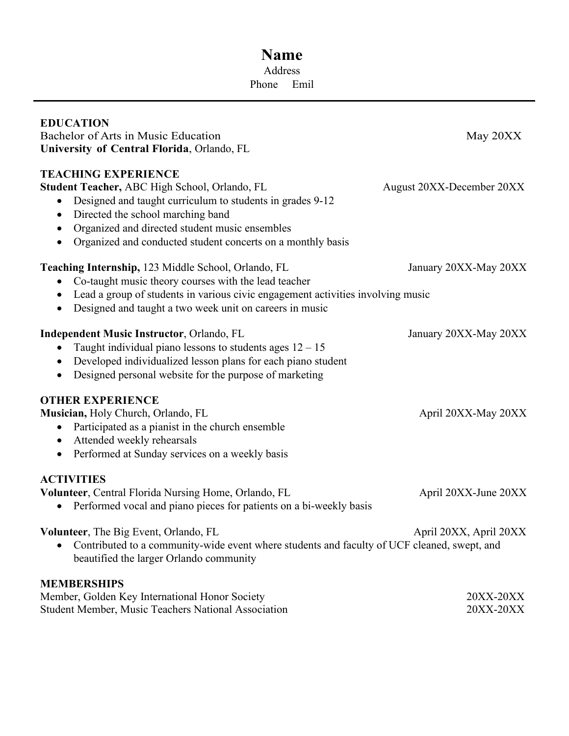## **Name** Address Phone Emil

| <b>EDUCATION</b><br>Bachelor of Arts in Music Education<br>University of Central Florida, Orlando, FL                                                                                                                                                                                                                 | May 20XX                  |
|-----------------------------------------------------------------------------------------------------------------------------------------------------------------------------------------------------------------------------------------------------------------------------------------------------------------------|---------------------------|
| <b>TEACHING EXPERIENCE</b><br>Student Teacher, ABC High School, Orlando, FL<br>Designed and taught curriculum to students in grades 9-12<br>Directed the school marching band<br>$\bullet$<br>Organized and directed student music ensembles<br>٠<br>Organized and conducted student concerts on a monthly basis<br>٠ | August 20XX-December 20XX |
| Teaching Internship, 123 Middle School, Orlando, FL<br>Co-taught music theory courses with the lead teacher<br>Lead a group of students in various civic engagement activities involving music<br>Designed and taught a two week unit on careers in music                                                             | January 20XX-May 20XX     |
| <b>Independent Music Instructor, Orlando, FL</b><br>Taught individual piano lessons to students ages $12 - 15$<br>Developed individualized lesson plans for each piano student<br>Designed personal website for the purpose of marketing<br>$\bullet$                                                                 | January 20XX-May 20XX     |
| <b>OTHER EXPERIENCE</b><br>Musician, Holy Church, Orlando, FL<br>Participated as a pianist in the church ensemble<br>$\bullet$<br>Attended weekly rehearsals<br>$\bullet$<br>Performed at Sunday services on a weekly basis<br>$\bullet$                                                                              | April 20XX-May 20XX       |
| <b>ACTIVITIES</b><br>Volunteer, Central Florida Nursing Home, Orlando, FL<br>Performed vocal and piano pieces for patients on a bi-weekly basis<br>$\bullet$                                                                                                                                                          | April 20XX-June 20XX      |
| <b>Volunteer, The Big Event, Orlando, FL</b><br>Contributed to a community-wide event where students and faculty of UCF cleaned, swept, and<br>beautified the larger Orlando community                                                                                                                                | April 20XX, April 20XX    |
| <b>MEMBERSHIPS</b><br>Member, Golden Key International Honor Society<br>Student Member, Music Teachers National Association                                                                                                                                                                                           | 20XX-20XX<br>20XX-20XX    |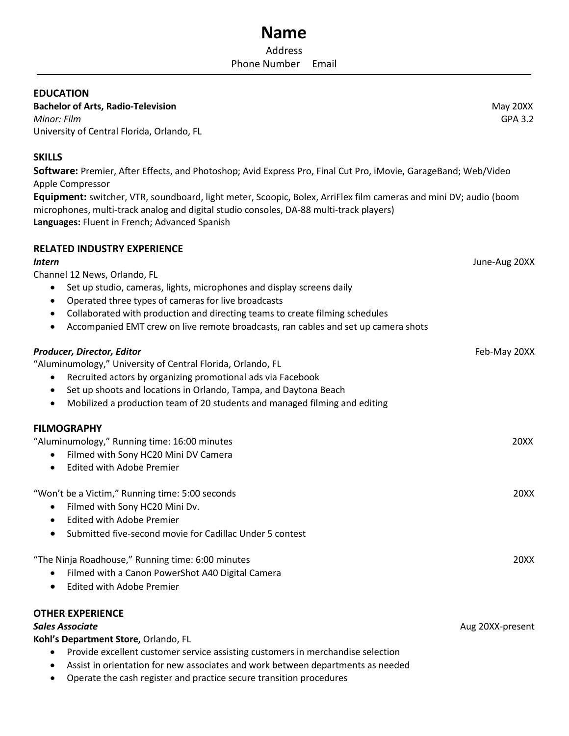#### **EDUCATION**

**Bachelor of Arts, Radio-Television** *May 20XX* **and** *May 20XX* **and** *May 20XX* **and** *May 20XX* **and** *May 20XX* **and** *May 20XX* **and** *May 20XX* **and** *May 20XX* **and** *May 20XX* **and** *May 20XX* **and** *May 20XX* **and** *May 20XX* **and** *May 2 Minor: Film*GPA 3.2 University of Central Florida, Orlando, FL

#### **SKILLS**

**Software:** Premier, After Effects, and Photoshop; Avid Express Pro, Final Cut Pro, iMovie, GarageBand; Web/Video Apple Compressor

**Equipment:** switcher, VTR, soundboard, light meter, Scoopic, Bolex, ArriFlex film cameras and mini DV; audio (boom microphones, multi-track analog and digital studio consoles, DA-88 multi-track players) **Languages:** Fluent in French; Advanced Spanish

#### **RELATED INDUSTRY EXPERIENCE**

#### *Intern*June-Aug 20XX

Channel 12 News, Orlando, FL

- Set up studio, cameras, lights, microphones and display screens daily
- Operated three types of cameras for live broadcasts
- Collaborated with production and directing teams to create filming schedules
- Accompanied EMT crew on live remote broadcasts, ran cables and set up camera shots

## *Producer, Director, Editor*Feb-May 20XX "Aluminumology," University of Central Florida, Orlando, FL • Recruited actors by organizing promotional ads via Facebook • Set up shoots and locations in Orlando, Tampa, and Daytona Beach • Mobilized a production team of 20 students and managed filming and editing **FILMOGRAPHY** "Aluminumology," Running time: 16:00 minutes 20XX • Filmed with Sony HC20 Mini DV Camera • Edited with Adobe Premier "Won't be a Victim," Running time: 5:00 seconds 20XX • Filmed with Sony HC20 Mini Dv. • Edited with Adobe Premier • Submitted five-second movie for Cadillac Under 5 contest "The Ninja Roadhouse," Running time: 6:00 minutes 20XX • Filmed with a Canon PowerShot A40 Digital Camera

• Edited with Adobe Premier

#### **OTHER EXPERIENCE**

#### *Sales Associate* Aug 20XX-present

**Kohl's Department Store,** Orlando, FL

- Provide excellent customer service assisting customers in merchandise selection
- Assist in orientation for new associates and work between departments as needed
- Operate the cash register and practice secure transition procedures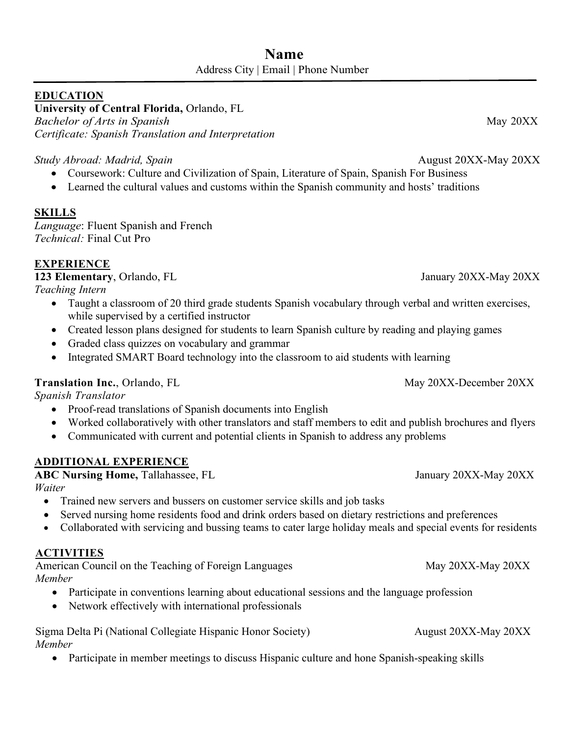#### **EDUCATION**

**University of Central Florida,** Orlando, FL

*Bachelor of Arts in Spanish* May 20XX *Certificate: Spanish Translation and Interpretation*

*Study Abroad: Madrid, Spain* August 20XX-May 20XX

- Coursework: Culture and Civilization of Spain, Literature of Spain, Spanish For Business
- Learned the cultural values and customs within the Spanish community and hosts' traditions

#### **SKILLS**

*Language*: Fluent Spanish and French *Technical:* Final Cut Pro

#### **EXPERIENCE**

**123 Elementary**, Orlando, FL January 20XX-May 20XX

*Teaching Intern* 

- Taught a classroom of 20 third grade students Spanish vocabulary through verbal and written exercises, while supervised by a certified instructor
- Created lesson plans designed for students to learn Spanish culture by reading and playing games
- Graded class quizzes on vocabulary and grammar
- Integrated SMART Board technology into the classroom to aid students with learning

#### **Translation Inc.**, Orlando, FL May 20XX-December 20XX

*Spanish Translator*

- Proof-read translations of Spanish documents into English
- Worked collaboratively with other translators and staff members to edit and publish brochures and flyers
- Communicated with current and potential clients in Spanish to address any problems

#### **ADDITIONAL EXPERIENCE**

**ABC** Nursing Home, Tallahassee, FL January 20XX-May 20XX

*Waiter*

- Trained new servers and bussers on customer service skills and job tasks
- Served nursing home residents food and drink orders based on dietary restrictions and preferences
- Collaborated with servicing and bussing teams to cater large holiday meals and special events for residents

#### **ACTIVITIES**

American Council on the Teaching of Foreign Languages May 20XX-May 20XX-May 20XX *Member*

- Participate in conventions learning about educational sessions and the language profession
- Network effectively with international professionals

Sigma Delta Pi (National Collegiate Hispanic Honor Society) August 20XX-May 20XX *Member*

• Participate in member meetings to discuss Hispanic culture and hone Spanish-speaking skills